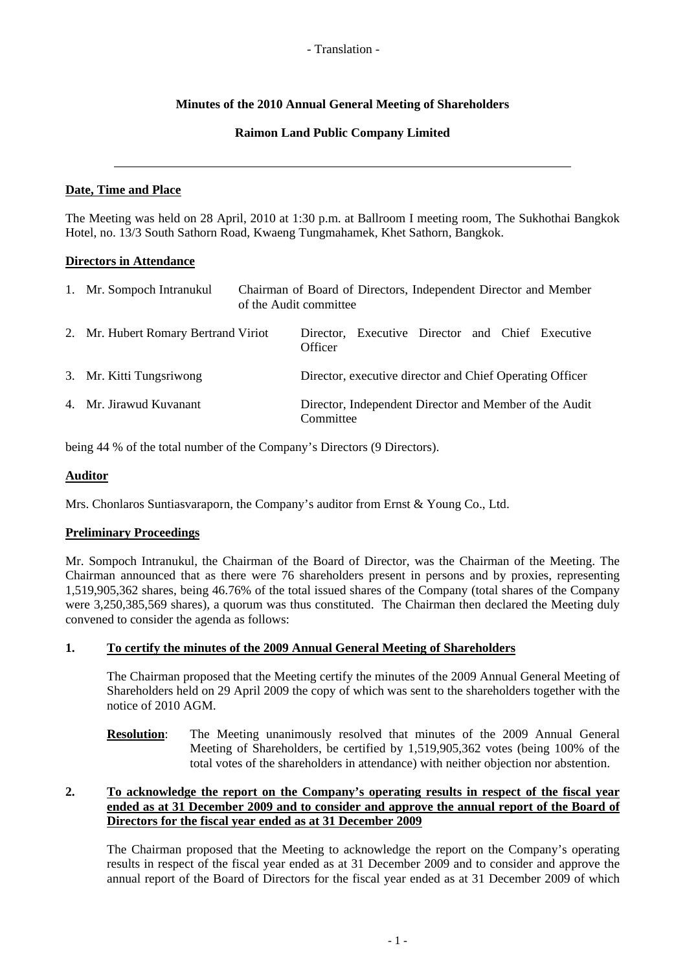# **Minutes of the 2010 Annual General Meeting of Shareholders**

## **Raimon Land Public Company Limited**

## **Date, Time and Place**

 $\overline{a}$ 

The Meeting was held on 28 April, 2010 at 1:30 p.m. at Ballroom I meeting room, The Sukhothai Bangkok Hotel, no. 13/3 South Sathorn Road, Kwaeng Tungmahamek, Khet Sathorn, Bangkok.

### **Directors in Attendance**

| 1. Mr. Sompoch Intranukul            | Chairman of Board of Directors, Independent Director and Member<br>of the Audit committee |           |                                                          |  |  |
|--------------------------------------|-------------------------------------------------------------------------------------------|-----------|----------------------------------------------------------|--|--|
| 2. Mr. Hubert Romary Bertrand Viriot |                                                                                           | Officer   | Director, Executive Director and Chief Executive         |  |  |
| 3. Mr. Kitti Tungsriwong             |                                                                                           |           | Director, executive director and Chief Operating Officer |  |  |
| 4. Mr. Jirawud Kuvanant              |                                                                                           | Committee | Director, Independent Director and Member of the Audit   |  |  |

being 44 % of the total number of the Company's Directors (9 Directors).

### **Auditor**

Mrs. Chonlaros Suntiasvaraporn, the Company's auditor from Ernst & Young Co., Ltd.

## **Preliminary Proceedings**

Mr. Sompoch Intranukul, the Chairman of the Board of Director, was the Chairman of the Meeting. The Chairman announced that as there were 76 shareholders present in persons and by proxies, representing 1,519,905,362 shares, being 46.76% of the total issued shares of the Company (total shares of the Company were 3,250,385,569 shares), a quorum was thus constituted. The Chairman then declared the Meeting duly convened to consider the agenda as follows:

#### **1. To certify the minutes of the 2009 Annual General Meeting of Shareholders**

The Chairman proposed that the Meeting certify the minutes of the 2009 Annual General Meeting of Shareholders held on 29 April 2009 the copy of which was sent to the shareholders together with the notice of 2010 AGM.

**Resolution**: The Meeting unanimously resolved that minutes of the 2009 Annual General Meeting of Shareholders, be certified by 1,519,905,362 votes (being 100% of the total votes of the shareholders in attendance) with neither objection nor abstention.

## **2. To acknowledge the report on the Company's operating results in respect of the fiscal year ended as at 31 December 2009 and to consider and approve the annual report of the Board of Directors for the fiscal year ended as at 31 December 2009**

The Chairman proposed that the Meeting to acknowledge the report on the Company's operating results in respect of the fiscal year ended as at 31 December 2009 and to consider and approve the annual report of the Board of Directors for the fiscal year ended as at 31 December 2009 of which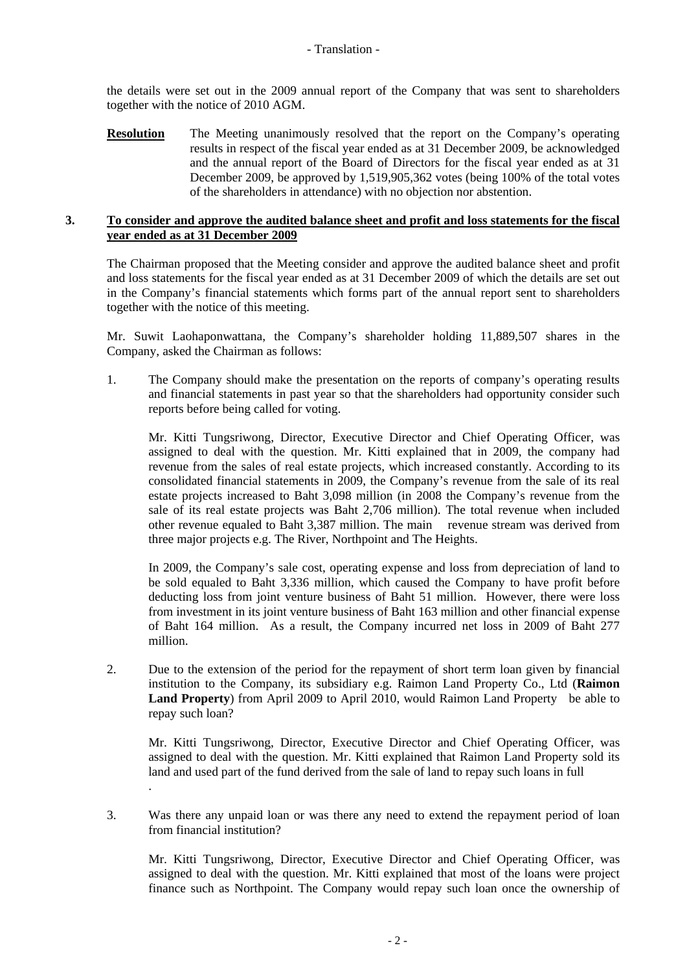the details were set out in the 2009 annual report of the Company that was sent to shareholders together with the notice of 2010 AGM.

**Resolution** The Meeting unanimously resolved that the report on the Company's operating results in respect of the fiscal year ended as at 31 December 2009, be acknowledged and the annual report of the Board of Directors for the fiscal year ended as at 31 December 2009, be approved by 1,519,905,362 votes (being 100% of the total votes of the shareholders in attendance) with no objection nor abstention.

#### **3. To consider and approve the audited balance sheet and profit and loss statements for the fiscal year ended as at 31 December 2009**

The Chairman proposed that the Meeting consider and approve the audited balance sheet and profit and loss statements for the fiscal year ended as at 31 December 2009 of which the details are set out in the Company's financial statements which forms part of the annual report sent to shareholders together with the notice of this meeting.

Mr. Suwit Laohaponwattana, the Company's shareholder holding 11,889,507 shares in the Company, asked the Chairman as follows:

1. The Company should make the presentation on the reports of company's operating results and financial statements in past year so that the shareholders had opportunity consider such reports before being called for voting.

Mr. Kitti Tungsriwong, Director, Executive Director and Chief Operating Officer, was assigned to deal with the question. Mr. Kitti explained that in 2009, the company had revenue from the sales of real estate projects, which increased constantly. According to its consolidated financial statements in 2009, the Company's revenue from the sale of its real estate projects increased to Baht 3,098 million (in 2008 the Company's revenue from the sale of its real estate projects was Baht 2,706 million). The total revenue when included other revenue equaled to Baht 3,387 million. The main revenue stream was derived from three major projects e.g. The River, Northpoint and The Heights.

In 2009, the Company's sale cost, operating expense and loss from depreciation of land to be sold equaled to Baht 3,336 million, which caused the Company to have profit before deducting loss from joint venture business of Baht 51 million. However, there were loss from investment in its joint venture business of Baht 163 million and other financial expense of Baht 164 million. As a result, the Company incurred net loss in 2009 of Baht 277 million.

2. Due to the extension of the period for the repayment of short term loan given by financial institution to the Company, its subsidiary e.g. Raimon Land Property Co., Ltd (**Raimon Land Property**) from April 2009 to April 2010, would Raimon Land Property be able to repay such loan?

Mr. Kitti Tungsriwong, Director, Executive Director and Chief Operating Officer, was assigned to deal with the question. Mr. Kitti explained that Raimon Land Property sold its land and used part of the fund derived from the sale of land to repay such loans in full .

3. Was there any unpaid loan or was there any need to extend the repayment period of loan from financial institution?

Mr. Kitti Tungsriwong, Director, Executive Director and Chief Operating Officer, was assigned to deal with the question. Mr. Kitti explained that most of the loans were project finance such as Northpoint. The Company would repay such loan once the ownership of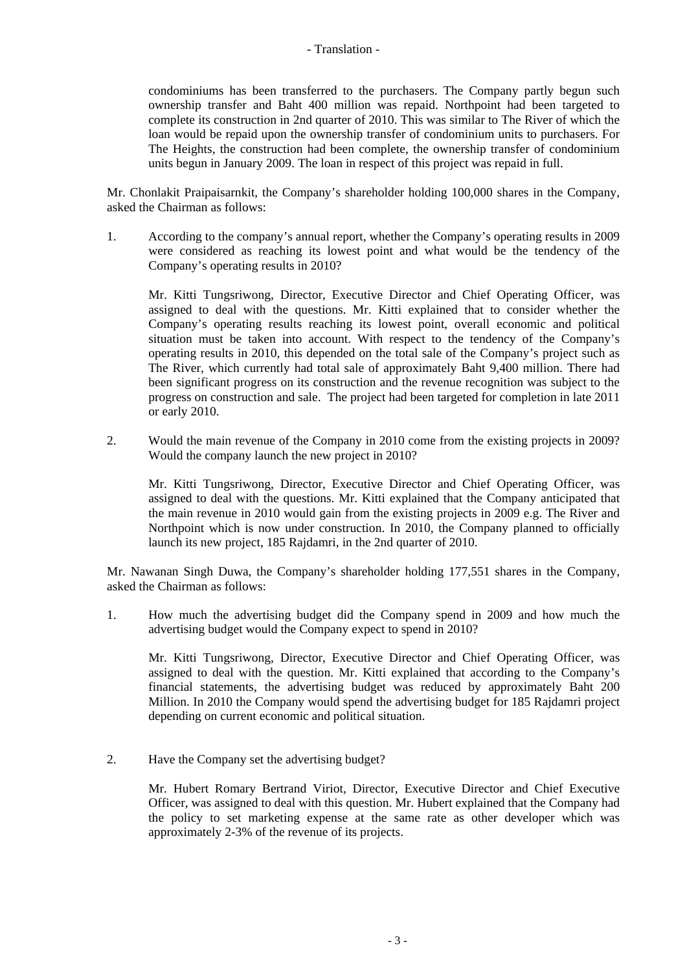condominiums has been transferred to the purchasers. The Company partly begun such ownership transfer and Baht 400 million was repaid. Northpoint had been targeted to complete its construction in 2nd quarter of 2010. This was similar to The River of which the loan would be repaid upon the ownership transfer of condominium units to purchasers. For The Heights, the construction had been complete, the ownership transfer of condominium units begun in January 2009. The loan in respect of this project was repaid in full.

Mr. Chonlakit Praipaisarnkit, the Company's shareholder holding 100,000 shares in the Company, asked the Chairman as follows:

1. According to the company's annual report, whether the Company's operating results in 2009 were considered as reaching its lowest point and what would be the tendency of the Company's operating results in 2010?

Mr. Kitti Tungsriwong, Director, Executive Director and Chief Operating Officer, was assigned to deal with the questions. Mr. Kitti explained that to consider whether the Company's operating results reaching its lowest point, overall economic and political situation must be taken into account. With respect to the tendency of the Company's operating results in 2010, this depended on the total sale of the Company's project such as The River, which currently had total sale of approximately Baht 9,400 million. There had been significant progress on its construction and the revenue recognition was subject to the progress on construction and sale. The project had been targeted for completion in late 2011 or early 2010.

2. Would the main revenue of the Company in 2010 come from the existing projects in 2009? Would the company launch the new project in 2010?

Mr. Kitti Tungsriwong, Director, Executive Director and Chief Operating Officer, was assigned to deal with the questions. Mr. Kitti explained that the Company anticipated that the main revenue in 2010 would gain from the existing projects in 2009 e.g. The River and Northpoint which is now under construction. In 2010, the Company planned to officially launch its new project, 185 Rajdamri, in the 2nd quarter of 2010.

Mr. Nawanan Singh Duwa, the Company's shareholder holding 177,551 shares in the Company, asked the Chairman as follows:

1. How much the advertising budget did the Company spend in 2009 and how much the advertising budget would the Company expect to spend in 2010?

Mr. Kitti Tungsriwong, Director, Executive Director and Chief Operating Officer, was assigned to deal with the question. Mr. Kitti explained that according to the Company's financial statements, the advertising budget was reduced by approximately Baht 200 Million. In 2010 the Company would spend the advertising budget for 185 Rajdamri project depending on current economic and political situation.

2. Have the Company set the advertising budget?

 Mr. Hubert Romary Bertrand Viriot, Director, Executive Director and Chief Executive Officer, was assigned to deal with this question. Mr. Hubert explained that the Company had the policy to set marketing expense at the same rate as other developer which was approximately 2-3% of the revenue of its projects.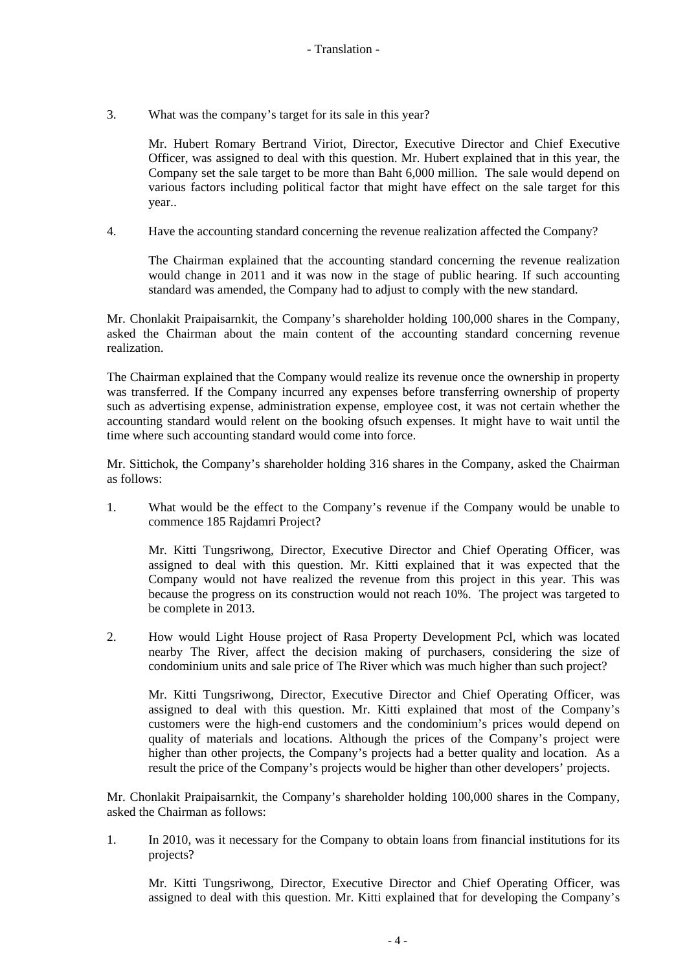3. What was the company's target for its sale in this year?

Mr. Hubert Romary Bertrand Viriot, Director, Executive Director and Chief Executive Officer, was assigned to deal with this question. Mr. Hubert explained that in this year, the Company set the sale target to be more than Baht 6,000 million. The sale would depend on various factors including political factor that might have effect on the sale target for this year..

4. Have the accounting standard concerning the revenue realization affected the Company?

The Chairman explained that the accounting standard concerning the revenue realization would change in 2011 and it was now in the stage of public hearing. If such accounting standard was amended, the Company had to adjust to comply with the new standard.

Mr. Chonlakit Praipaisarnkit, the Company's shareholder holding 100,000 shares in the Company, asked the Chairman about the main content of the accounting standard concerning revenue realization.

The Chairman explained that the Company would realize its revenue once the ownership in property was transferred. If the Company incurred any expenses before transferring ownership of property such as advertising expense, administration expense, employee cost, it was not certain whether the accounting standard would relent on the booking ofsuch expenses. It might have to wait until the time where such accounting standard would come into force.

Mr. Sittichok, the Company's shareholder holding 316 shares in the Company, asked the Chairman as follows:

1. What would be the effect to the Company's revenue if the Company would be unable to commence 185 Rajdamri Project?

Mr. Kitti Tungsriwong, Director, Executive Director and Chief Operating Officer, was assigned to deal with this question. Mr. Kitti explained that it was expected that the Company would not have realized the revenue from this project in this year. This was because the progress on its construction would not reach 10%. The project was targeted to be complete in 2013.

2. How would Light House project of Rasa Property Development Pcl, which was located nearby The River, affect the decision making of purchasers, considering the size of condominium units and sale price of The River which was much higher than such project?

Mr. Kitti Tungsriwong, Director, Executive Director and Chief Operating Officer, was assigned to deal with this question. Mr. Kitti explained that most of the Company's customers were the high-end customers and the condominium's prices would depend on quality of materials and locations. Although the prices of the Company's project were higher than other projects, the Company's projects had a better quality and location. As a result the price of the Company's projects would be higher than other developers' projects.

Mr. Chonlakit Praipaisarnkit, the Company's shareholder holding 100,000 shares in the Company, asked the Chairman as follows:

1. In 2010, was it necessary for the Company to obtain loans from financial institutions for its projects?

Mr. Kitti Tungsriwong, Director, Executive Director and Chief Operating Officer, was assigned to deal with this question. Mr. Kitti explained that for developing the Company's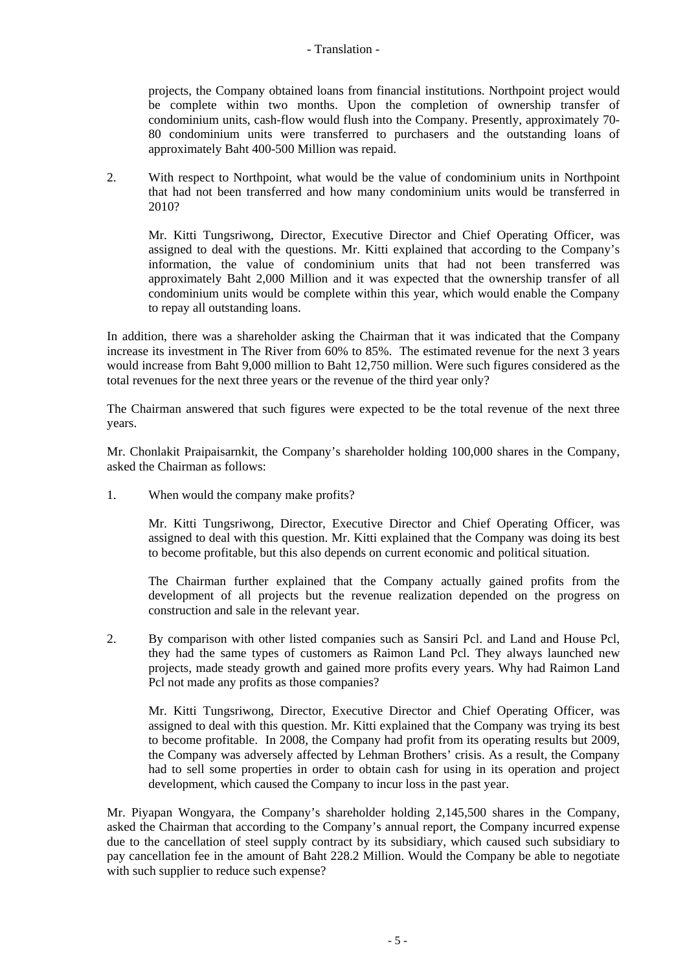projects, the Company obtained loans from financial institutions. Northpoint project would be complete within two months. Upon the completion of ownership transfer of condominium units, cash-flow would flush into the Company. Presently, approximately 70- 80 condominium units were transferred to purchasers and the outstanding loans of approximately Baht 400-500 Million was repaid.

2. With respect to Northpoint, what would be the value of condominium units in Northpoint that had not been transferred and how many condominium units would be transferred in 2010?

Mr. Kitti Tungsriwong, Director, Executive Director and Chief Operating Officer, was assigned to deal with the questions. Mr. Kitti explained that according to the Company's information, the value of condominium units that had not been transferred was approximately Baht 2,000 Million and it was expected that the ownership transfer of all condominium units would be complete within this year, which would enable the Company to repay all outstanding loans.

In addition, there was a shareholder asking the Chairman that it was indicated that the Company increase its investment in The River from 60% to 85%. The estimated revenue for the next 3 years would increase from Baht 9,000 million to Baht 12,750 million. Were such figures considered as the total revenues for the next three years or the revenue of the third year only?

The Chairman answered that such figures were expected to be the total revenue of the next three years.

Mr. Chonlakit Praipaisarnkit, the Company's shareholder holding 100,000 shares in the Company, asked the Chairman as follows:

1. When would the company make profits?

Mr. Kitti Tungsriwong, Director, Executive Director and Chief Operating Officer, was assigned to deal with this question. Mr. Kitti explained that the Company was doing its best to become profitable, but this also depends on current economic and political situation.

The Chairman further explained that the Company actually gained profits from the development of all projects but the revenue realization depended on the progress on construction and sale in the relevant year.

2. By comparison with other listed companies such as Sansiri Pcl. and Land and House Pcl, they had the same types of customers as Raimon Land Pcl. They always launched new projects, made steady growth and gained more profits every years. Why had Raimon Land Pcl not made any profits as those companies?

Mr. Kitti Tungsriwong, Director, Executive Director and Chief Operating Officer, was assigned to deal with this question. Mr. Kitti explained that the Company was trying its best to become profitable. In 2008, the Company had profit from its operating results but 2009, the Company was adversely affected by Lehman Brothers' crisis. As a result, the Company had to sell some properties in order to obtain cash for using in its operation and project development, which caused the Company to incur loss in the past year.

Mr. Piyapan Wongyara, the Company's shareholder holding 2,145,500 shares in the Company, asked the Chairman that according to the Company's annual report, the Company incurred expense due to the cancellation of steel supply contract by its subsidiary, which caused such subsidiary to pay cancellation fee in the amount of Baht 228.2 Million. Would the Company be able to negotiate with such supplier to reduce such expense?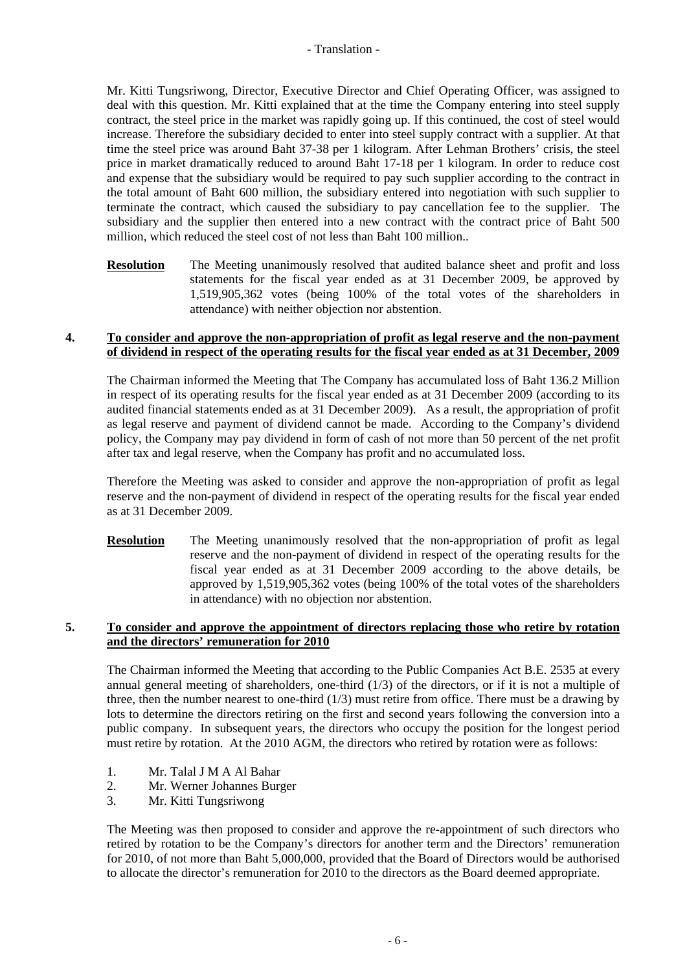Mr. Kitti Tungsriwong, Director, Executive Director and Chief Operating Officer, was assigned to deal with this question. Mr. Kitti explained that at the time the Company entering into steel supply contract, the steel price in the market was rapidly going up. If this continued, the cost of steel would increase. Therefore the subsidiary decided to enter into steel supply contract with a supplier. At that time the steel price was around Baht 37-38 per 1 kilogram. After Lehman Brothers' crisis, the steel price in market dramatically reduced to around Baht 17-18 per 1 kilogram. In order to reduce cost and expense that the subsidiary would be required to pay such supplier according to the contract in the total amount of Baht 600 million, the subsidiary entered into negotiation with such supplier to terminate the contract, which caused the subsidiary to pay cancellation fee to the supplier. The subsidiary and the supplier then entered into a new contract with the contract price of Baht 500 million, which reduced the steel cost of not less than Baht 100 million..

**Resolution** The Meeting unanimously resolved that audited balance sheet and profit and loss statements for the fiscal year ended as at 31 December 2009, be approved by 1,519,905,362 votes (being 100% of the total votes of the shareholders in attendance) with neither objection nor abstention.

#### **4. To consider and approve the non-appropriation of profit as legal reserve and the non-payment of dividend in respect of the operating results for the fiscal year ended as at 31 December, 2009**

The Chairman informed the Meeting that The Company has accumulated loss of Baht 136.2 Million in respect of its operating results for the fiscal year ended as at 31 December 2009 (according to its audited financial statements ended as at 31 December 2009). As a result, the appropriation of profit as legal reserve and payment of dividend cannot be made. According to the Company's dividend policy, the Company may pay dividend in form of cash of not more than 50 percent of the net profit after tax and legal reserve, when the Company has profit and no accumulated loss.

Therefore the Meeting was asked to consider and approve the non-appropriation of profit as legal reserve and the non-payment of dividend in respect of the operating results for the fiscal year ended as at 31 December 2009.

**Resolution** The Meeting unanimously resolved that the non-appropriation of profit as legal reserve and the non-payment of dividend in respect of the operating results for the fiscal year ended as at 31 December 2009 according to the above details, be approved by 1,519,905,362 votes (being 100% of the total votes of the shareholders in attendance) with no objection nor abstention.

#### **5. To consider and approve the appointment of directors replacing those who retire by rotation and the directors' remuneration for 2010**

 The Chairman informed the Meeting that according to the Public Companies Act B.E. 2535 at every annual general meeting of shareholders, one-third (1/3) of the directors, or if it is not a multiple of three, then the number nearest to one-third  $(1/3)$  must retire from office. There must be a drawing by lots to determine the directors retiring on the first and second years following the conversion into a public company. In subsequent years, the directors who occupy the position for the longest period must retire by rotation. At the 2010 AGM, the directors who retired by rotation were as follows:

- 1. Mr. Talal J M A Al Bahar
- 2. Mr. Werner Johannes Burger
- 3. Mr. Kitti Tungsriwong

 The Meeting was then proposed to consider and approve the re-appointment of such directors who retired by rotation to be the Company's directors for another term and the Directors' remuneration for 2010, of not more than Baht 5,000,000, provided that the Board of Directors would be authorised to allocate the director's remuneration for 2010 to the directors as the Board deemed appropriate.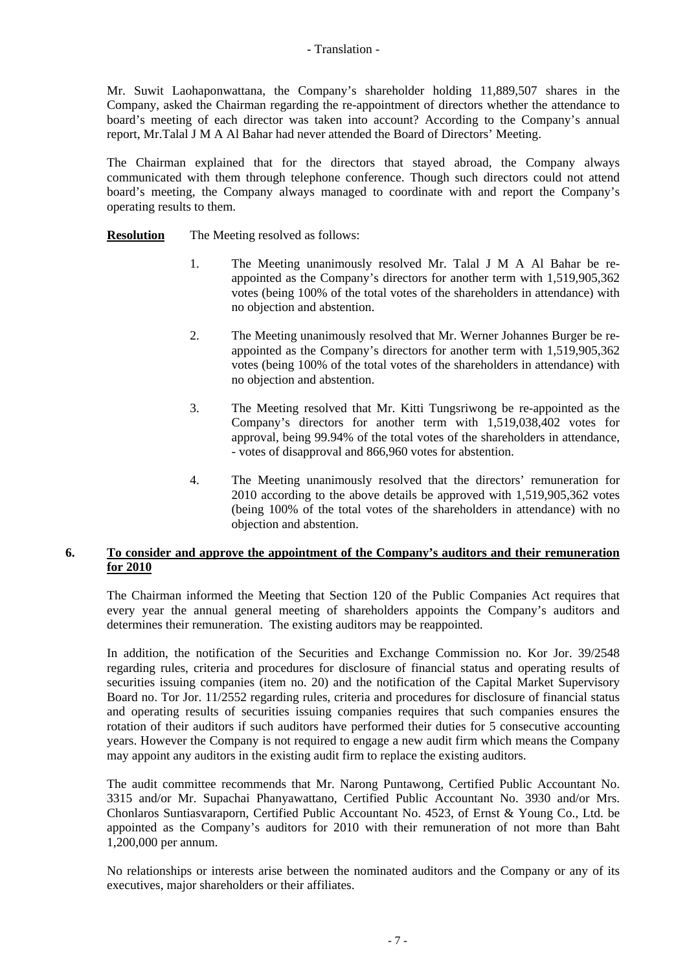Mr. Suwit Laohaponwattana, the Company's shareholder holding 11,889,507 shares in the Company, asked the Chairman regarding the re-appointment of directors whether the attendance to board's meeting of each director was taken into account? According to the Company's annual report, Mr.Talal J M A Al Bahar had never attended the Board of Directors' Meeting.

The Chairman explained that for the directors that stayed abroad, the Company always communicated with them through telephone conference. Though such directors could not attend board's meeting, the Company always managed to coordinate with and report the Company's operating results to them.

**Resolution** The Meeting resolved as follows:

- 1. The Meeting unanimously resolved Mr. Talal J M A Al Bahar be reappointed as the Company's directors for another term with 1,519,905,362 votes (being 100% of the total votes of the shareholders in attendance) with no objection and abstention.
- 2. The Meeting unanimously resolved that Mr. Werner Johannes Burger be reappointed as the Company's directors for another term with 1,519,905,362 votes (being 100% of the total votes of the shareholders in attendance) with no objection and abstention.
- 3. The Meeting resolved that Mr. Kitti Tungsriwong be re-appointed as the Company's directors for another term with 1,519,038,402 votes for approval, being 99.94% of the total votes of the shareholders in attendance, - votes of disapproval and 866,960 votes for abstention.
- 4. The Meeting unanimously resolved that the directors' remuneration for 2010 according to the above details be approved with 1,519,905,362 votes (being 100% of the total votes of the shareholders in attendance) with no objection and abstention.

## **6. To consider and approve the appointment of the Company's auditors and their remuneration for 2010**

The Chairman informed the Meeting that Section 120 of the Public Companies Act requires that every year the annual general meeting of shareholders appoints the Company's auditors and determines their remuneration. The existing auditors may be reappointed.

In addition, the notification of the Securities and Exchange Commission no. Kor Jor. 39/2548 regarding rules, criteria and procedures for disclosure of financial status and operating results of securities issuing companies (item no. 20) and the notification of the Capital Market Supervisory Board no. Tor Jor. 11/2552 regarding rules, criteria and procedures for disclosure of financial status and operating results of securities issuing companies requires that such companies ensures the rotation of their auditors if such auditors have performed their duties for 5 consecutive accounting years. However the Company is not required to engage a new audit firm which means the Company may appoint any auditors in the existing audit firm to replace the existing auditors.

The audit committee recommends that Mr. Narong Puntawong, Certified Public Accountant No. 3315 and/or Mr. Supachai Phanyawattano, Certified Public Accountant No. 3930 and/or Mrs. Chonlaros Suntiasvaraporn, Certified Public Accountant No. 4523, of Ernst & Young Co., Ltd. be appointed as the Company's auditors for 2010 with their remuneration of not more than Baht 1,200,000 per annum.

No relationships or interests arise between the nominated auditors and the Company or any of its executives, major shareholders or their affiliates.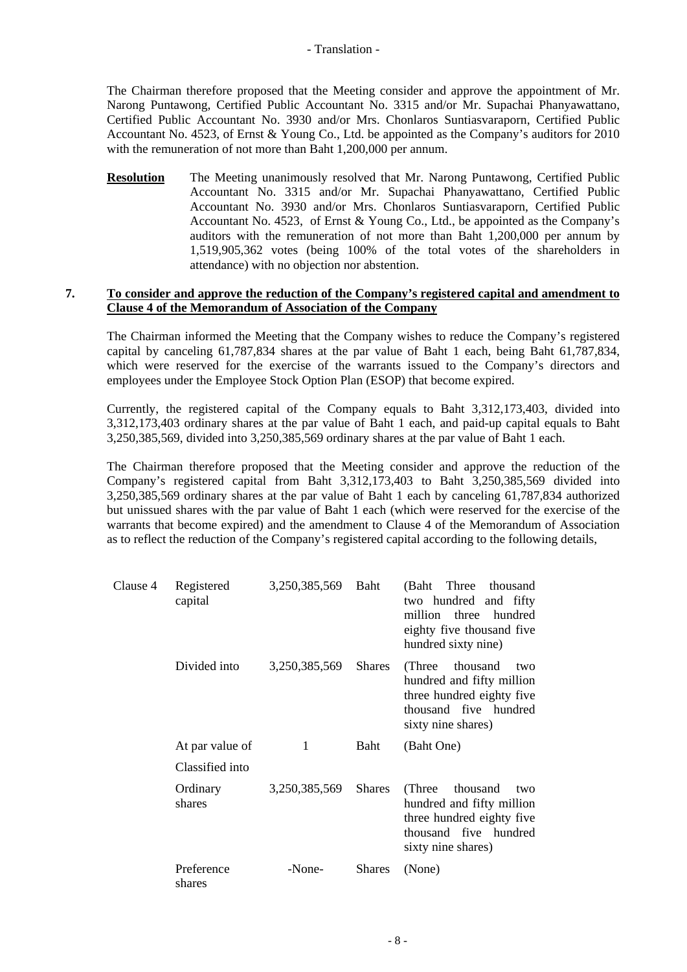The Chairman therefore proposed that the Meeting consider and approve the appointment of Mr. Narong Puntawong, Certified Public Accountant No. 3315 and/or Mr. Supachai Phanyawattano, Certified Public Accountant No. 3930 and/or Mrs. Chonlaros Suntiasvaraporn, Certified Public Accountant No. 4523, of Ernst & Young Co., Ltd. be appointed as the Company's auditors for 2010 with the remuneration of not more than Baht 1,200,000 per annum.

**Resolution** The Meeting unanimously resolved that Mr. Narong Puntawong, Certified Public Accountant No. 3315 and/or Mr. Supachai Phanyawattano, Certified Public Accountant No. 3930 and/or Mrs. Chonlaros Suntiasvaraporn, Certified Public Accountant No. 4523, of Ernst & Young Co., Ltd., be appointed as the Company's auditors with the remuneration of not more than Baht 1,200,000 per annum by 1,519,905,362 votes (being 100% of the total votes of the shareholders in attendance) with no objection nor abstention.

### **7. To consider and approve the reduction of the Company's registered capital and amendment to Clause 4 of the Memorandum of Association of the Company**

The Chairman informed the Meeting that the Company wishes to reduce the Company's registered capital by canceling 61,787,834 shares at the par value of Baht 1 each, being Baht 61,787,834, which were reserved for the exercise of the warrants issued to the Company's directors and employees under the Employee Stock Option Plan (ESOP) that become expired.

Currently, the registered capital of the Company equals to Baht 3,312,173,403, divided into 3,312,173,403 ordinary shares at the par value of Baht 1 each, and paid-up capital equals to Baht 3,250,385,569, divided into 3,250,385,569 ordinary shares at the par value of Baht 1 each.

The Chairman therefore proposed that the Meeting consider and approve the reduction of the Company's registered capital from Baht 3,312,173,403 to Baht 3,250,385,569 divided into 3,250,385,569 ordinary shares at the par value of Baht 1 each by canceling 61,787,834 authorized but unissued shares with the par value of Baht 1 each (which were reserved for the exercise of the warrants that become expired) and the amendment to Clause 4 of the Memorandum of Association as to reflect the reduction of the Company's registered capital according to the following details,

| Clause 4 | Registered<br>capital | 3,250,385,569 | Baht          | Three thousand<br>(Baht)<br>two hundred and fifty<br>million three<br>hundred<br>eighty five thousand five<br>hundred sixty nine)   |  |  |  |
|----------|-----------------------|---------------|---------------|-------------------------------------------------------------------------------------------------------------------------------------|--|--|--|
|          | Divided into          | 3,250,385,569 | <b>Shares</b> | thousand<br>(Three)<br>two<br>hundred and fifty million<br>three hundred eighty five<br>thousand five hundred<br>sixty nine shares) |  |  |  |
|          | At par value of       | 1             | Baht          | (Baht One)                                                                                                                          |  |  |  |
|          | Classified into       |               |               |                                                                                                                                     |  |  |  |
|          | Ordinary<br>shares    | 3,250,385,569 | <b>Shares</b> | (Three)<br>thousand<br>two<br>hundred and fifty million<br>three hundred eighty five<br>thousand five hundred<br>sixty nine shares) |  |  |  |
|          | Preference<br>shares  | -None-        | <b>Shares</b> | (None)                                                                                                                              |  |  |  |